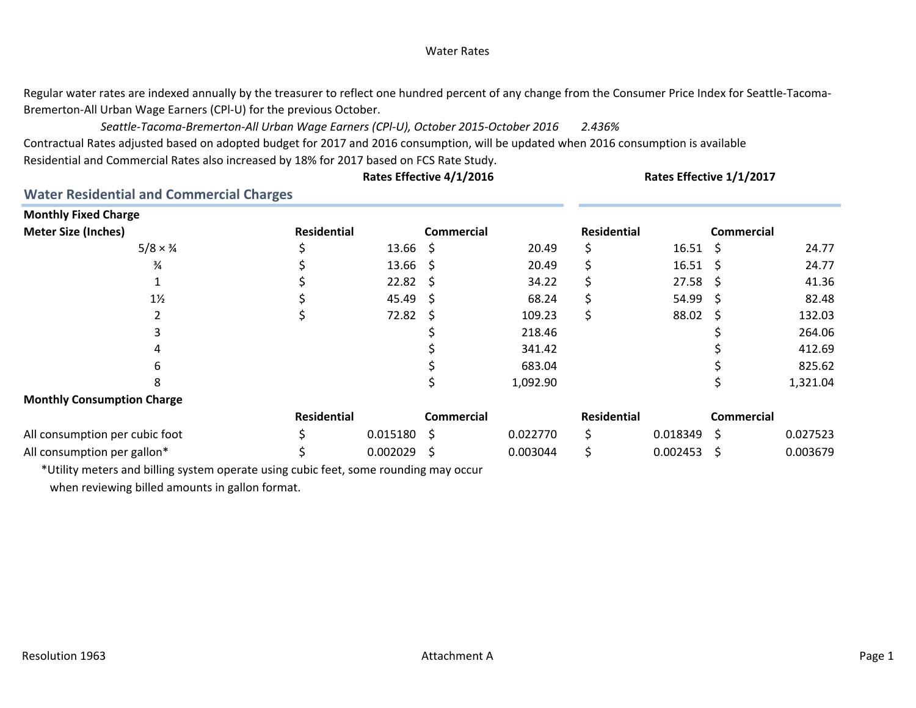# Water Rates

Regular water rates are indexed annually by the treasurer to reflect one hundred percent of any change from the Consumer Price Index for Seattle-Tacoma-Bremerton‐All Urban Wage Earners (CPl‐U) for the previous October.

*2.436% Seattle‐Tacoma‐Bremerton‐All Urban Wage Earners (CPl‐U), October 2015‐October 2016*

Contractual Rates adjusted based on adopted budget for 2017 and 2016 consumption, will be updated when 2016 consumption is available Residential and Commercial Rates also increased by 18% for 2017 based on FCS Rate Study.

**Rates Effective 4/1/2016 Rates Effective 1/1/2017**

**Water Residential and Commercial Charges**

| <b>Monthly Fixed Charge</b>       |                    |          |                   |          |                    |                  |                     |          |
|-----------------------------------|--------------------|----------|-------------------|----------|--------------------|------------------|---------------------|----------|
| <b>Meter Size (Inches)</b>        | <b>Residential</b> |          | <b>Commercial</b> |          | <b>Residential</b> |                  | <b>Commercial</b>   |          |
| $5/8 \times \frac{3}{4}$          |                    | 13.66    | -S                | 20.49    | Ś                  | $16.51 \quad $$  |                     | 24.77    |
| $\frac{3}{4}$                     |                    | 13.66    | -S                | 20.49    |                    | 16.51            | - S                 | 24.77    |
|                                   |                    | 22.82    | - S               | 34.22    |                    | $27.58 \quad$ \$ |                     | 41.36    |
| $1\frac{1}{2}$                    |                    | 45.49    | - S               | 68.24    |                    | 54.99            | - S                 | 82.48    |
|                                   |                    | 72.82    | -S                | 109.23   |                    | 88.02            | $\ddot{\mathsf{S}}$ | 132.03   |
|                                   |                    |          |                   | 218.46   |                    |                  |                     | 264.06   |
| 4                                 |                    |          |                   | 341.42   |                    |                  |                     | 412.69   |
| 6                                 |                    |          |                   | 683.04   |                    |                  |                     | 825.62   |
| 8                                 |                    |          |                   | 1,092.90 |                    |                  |                     | 1,321.04 |
| <b>Monthly Consumption Charge</b> |                    |          |                   |          |                    |                  |                     |          |
|                                   | <b>Residential</b> |          | <b>Commercial</b> |          | <b>Residential</b> |                  | <b>Commercial</b>   |          |
| All consumption per cubic foot    |                    | 0.015180 | .S                | 0.022770 | Ś                  | 0.018349         | -\$                 | 0.027523 |
| All consumption per gallon*       |                    | 0.002029 | .S                | 0.003044 |                    | 0.002453         | S.                  | 0.003679 |

\*Utility meters and billing system operate using cubic feet, some rounding may occur when reviewing billed amounts in gallon format.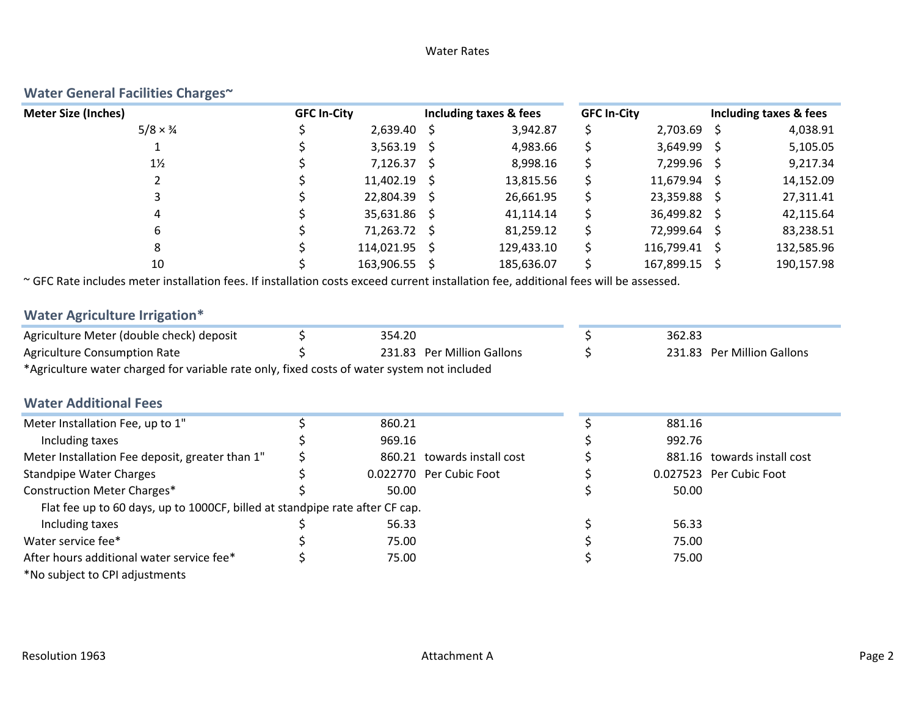# Water Rates

| <b>Meter Size (Inches)</b>                                                                                                            | <b>GFC In-City</b> |                         |     | Including taxes & fees      | <b>GFC In-City</b> |                         |     | Including taxes & fees      |
|---------------------------------------------------------------------------------------------------------------------------------------|--------------------|-------------------------|-----|-----------------------------|--------------------|-------------------------|-----|-----------------------------|
| $5/8 \times \frac{3}{4}$                                                                                                              |                    | 2,639.40                | -S  | 3,942.87                    | \$                 | $2,703.69$ \$           |     | 4,038.91                    |
|                                                                                                                                       |                    | 3,563.19                | \$. | 4,983.66                    | \$                 | 3,649.99 \$             |     | 5,105.05                    |
| $1\frac{1}{2}$                                                                                                                        |                    | 7,126.37                | \$  | 8,998.16                    | \$                 | 7,299.96                | -\$ | 9,217.34                    |
| 2                                                                                                                                     |                    | 11,402.19               | S   | 13,815.56                   | \$                 | 11,679.94 \$            |     | 14,152.09                   |
| 3                                                                                                                                     |                    | 22,804.39               | S   | 26,661.95                   |                    | 23,359.88 \$            |     | 27,311.41                   |
|                                                                                                                                       |                    | 35,631.86               | S.  | 41,114.14                   | \$                 | 36,499.82               | - S | 42,115.64                   |
| 6                                                                                                                                     |                    | 71,263.72 \$            |     | 81,259.12                   | \$                 | 72,999.64               | -\$ | 83,238.51                   |
| 8                                                                                                                                     |                    | 114,021.95              |     | 129,433.10                  |                    | 116,799.41 \$           |     | 132,585.96                  |
| 10                                                                                                                                    |                    | 163,906.55 \$           |     | 185,636.07                  |                    | 167,899.15 \$           |     | 190,157.98                  |
| ~ GFC Rate includes meter installation fees. If installation costs exceed current installation fee, additional fees will be assessed. |                    |                         |     |                             |                    |                         |     |                             |
| <b>Water Agriculture Irrigation*</b>                                                                                                  |                    |                         |     |                             |                    |                         |     |                             |
| Agriculture Meter (double check) deposit                                                                                              | \$                 | 354.20                  |     |                             | \$                 | 362.83                  |     |                             |
| <b>Agriculture Consumption Rate</b>                                                                                                   |                    |                         |     | 231.83 Per Million Gallons  |                    |                         |     | 231.83 Per Million Gallons  |
| *Agriculture water charged for variable rate only, fixed costs of water system not included                                           |                    |                         |     |                             |                    |                         |     |                             |
| <b>Water Additional Fees</b>                                                                                                          |                    |                         |     |                             |                    |                         |     |                             |
| Meter Installation Fee, up to 1"                                                                                                      | Ś                  | 860.21                  |     |                             | \$                 | 881.16                  |     |                             |
| Including taxes                                                                                                                       |                    | 969.16                  |     |                             |                    | 992.76                  |     |                             |
| Meter Installation Fee deposit, greater than 1"                                                                                       |                    |                         |     | 860.21 towards install cost |                    |                         |     | 881.16 towards install cost |
| <b>Standpipe Water Charges</b>                                                                                                        |                    | 0.022770 Per Cubic Foot |     |                             |                    | 0.027523 Per Cubic Foot |     |                             |
| <b>Construction Meter Charges*</b>                                                                                                    |                    | 50.00                   |     |                             |                    | 50.00                   |     |                             |
| Flat fee up to 60 days, up to 1000CF, billed at standpipe rate after CF cap.                                                          |                    |                         |     |                             |                    |                         |     |                             |
| Including taxes                                                                                                                       |                    | 56.33                   |     |                             |                    | 56.33                   |     |                             |
| Water service fee*                                                                                                                    |                    | 75.00                   |     |                             | \$                 | 75.00                   |     |                             |
| After hours additional water service fee*                                                                                             |                    | 75.00                   |     |                             | \$                 | 75.00                   |     |                             |
| *No subject to CPI adjustments                                                                                                        |                    |                         |     |                             |                    |                         |     |                             |

# **Water General Facilities Charges~**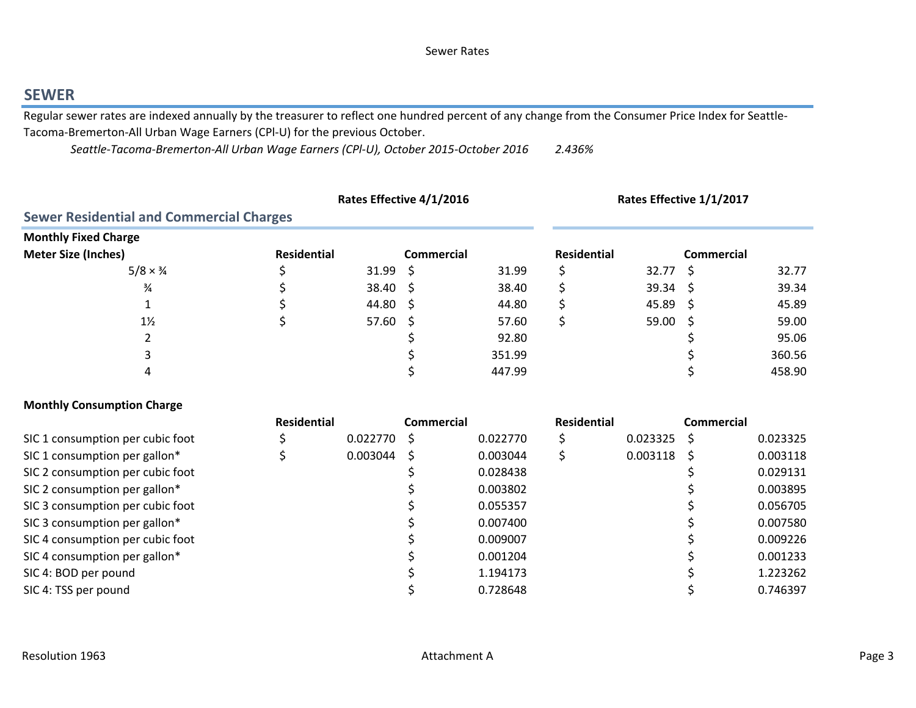# **SEWER**

Regular sewer rates are indexed annually by the treasurer to reflect one hundred percent of any change from the Consumer Price Index for Seattle-Tacoma‐Bremerton‐All Urban Wage Earners (CPl‐U) for the previous October.

*2.436% Seattle‐Tacoma‐Bremerton‐All Urban Wage Earners (CPl‐U), October 2015‐October 2016*

|                                                 |                    |                  | Rates Effective 4/1/2016 | Rates Effective 1/1/2017 |             |       |              |        |
|-------------------------------------------------|--------------------|------------------|--------------------------|--------------------------|-------------|-------|--------------|--------|
| <b>Sewer Residential and Commercial Charges</b> |                    |                  |                          |                          |             |       |              |        |
| <b>Monthly Fixed Charge</b>                     |                    |                  |                          |                          |             |       |              |        |
| <b>Meter Size (Inches)</b>                      | <b>Residential</b> |                  | <b>Commercial</b>        |                          | Residential |       | Commercial   |        |
| $5/8 \times \frac{3}{4}$                        |                    | $31.99 \quad$ \$ |                          | 31.99                    |             | 32.77 | <sub>S</sub> | 32.77  |
| $\frac{3}{4}$                                   |                    | $38.40 \div$     |                          | 38.40                    |             | 39.34 | S            | 39.34  |
|                                                 |                    | 44.80 \$         |                          | 44.80                    |             | 45.89 | -S           | 45.89  |
| $1\frac{1}{2}$                                  |                    | $57.60 \div$     |                          | 57.60                    |             | 59.00 | -S           | 59.00  |
|                                                 |                    |                  |                          | 92.80                    |             |       |              | 95.06  |
|                                                 |                    |                  |                          | 351.99                   |             |       |              | 360.56 |
|                                                 |                    |                  |                          | 447.99                   |             |       |              | 458.90 |

# **Monthly Consumption Charge**

| <b>Residential</b> | Commercial |                      | <b>Residential</b> |          | Commercial |          |
|--------------------|------------|----------------------|--------------------|----------|------------|----------|
|                    |            | 0.022770             |                    | 0.023325 |            | 0.023325 |
|                    |            | 0.003044             |                    | 0.003118 |            | 0.003118 |
|                    |            | 0.028438             |                    |          |            | 0.029131 |
|                    |            | 0.003802             |                    |          |            | 0.003895 |
|                    |            | 0.055357             |                    |          |            | 0.056705 |
|                    |            | 0.007400             |                    |          |            | 0.007580 |
|                    |            | 0.009007             |                    |          |            | 0.009226 |
|                    |            | 0.001204             |                    |          |            | 0.001233 |
|                    |            | 1.194173             |                    |          |            | 1.223262 |
|                    |            | 0.728648             |                    |          |            | 0.746397 |
|                    |            | 0.022770<br>0.003044 |                    |          |            |          |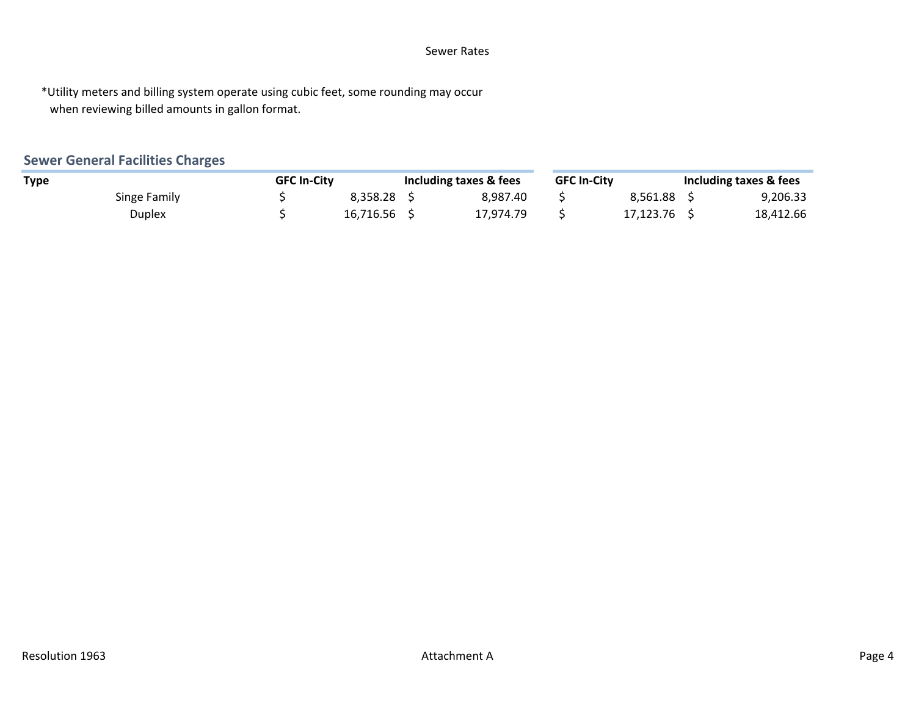# Sewer Rates

\*Utility meters and billing system operate using cubic feet, some rounding may occur when reviewing billed amounts in gallon format.

# **Sewer General Facilities Charges**

|              | <b>GFC In-City</b> |             | Including taxes & fees | <b>GFC In-City</b> |           | Including taxes & fees |
|--------------|--------------------|-------------|------------------------|--------------------|-----------|------------------------|
| <b>Type</b>  |                    |             |                        |                    |           |                        |
| Singe Family |                    | 8.358.28    | 8.987.40               |                    | 8.561.88  | 9,206.33               |
| Duplex       |                    | 16.716.56 S | 17.974.79              |                    | 17.123.76 | 18,412.66              |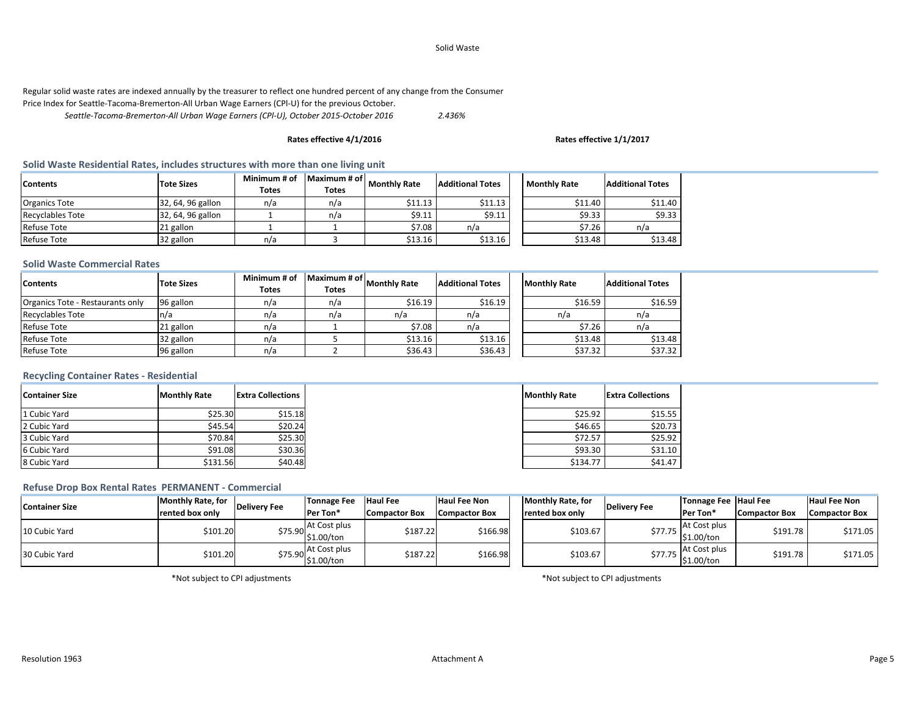#### Solid Waste

# Regular solid waste rates are indexed annually by the treasurer to reflect one hundred percent of any change from the Consumer

Price Index for Seattle‐Tacoma‐Bremerton‐All Urban Wage Earners (CPl‐U) for the previous October.

*2.436% Seattle‐Tacoma‐Bremerton‐All Urban Wage Earners (CPl‐U), October 2015‐October 2016*

#### **Rates effective 4/1/2016 Rates effective 1/1/2017**

# **Solid Waste Residential Rates, includes structures with more than one living unit**

| <b>Contents</b>         | <b>Tote Sizes</b> | Minimum # of<br><b>Totes</b> | Maximum # of<br><b>Totes</b> | <b>Monthly Rate</b> | <b>Additional Totes</b> | <b>Monthly Rate</b> | <b>Additional Totes</b> |
|-------------------------|-------------------|------------------------------|------------------------------|---------------------|-------------------------|---------------------|-------------------------|
| <b>Organics Tote</b>    | 32, 64, 96 gallon | n/a                          | n/a                          | \$11.13             | \$11.13                 | \$11.40             | \$11.40                 |
| <b>Recyclables Tote</b> | 32, 64, 96 gallon |                              | n/a                          | 59.11               | \$9.11                  | \$9.33              | \$9.33                  |
| <b>Refuse Tote</b>      | 21 gallon         |                              |                              | \$7.08              | n/a                     | \$7.26              | n/a                     |
| <b>Refuse Tote</b>      | 32 gallon         | n/a                          |                              | \$13.16             | \$13.16                 | \$13.48             | \$13.48                 |

#### **Solid Waste Commercial Rates**

| <b>Contents</b>                  | <b>Tote Sizes</b> | Minimum # of<br><b>Totes</b> | Maximum # of<br><b>Totes</b> | <b>Monthly Rate</b> | <b>Additional Totes</b> | <b>Monthly Rate</b> | <b>Additional Totes</b> |
|----------------------------------|-------------------|------------------------------|------------------------------|---------------------|-------------------------|---------------------|-------------------------|
| Organics Tote - Restaurants only | 96 gallon         | n/a                          | n/a                          | \$16.19             | \$16.19                 | \$16.59             | \$16.59                 |
| <b>Recyclables Tote</b>          | n/a               | n/a                          | n/a                          | n/a                 | n/a                     | n/a                 | n/a                     |
| <b>Refuse Tote</b>               | 21 gallon         | n/a                          |                              | \$7.08              | n/a                     | \$7.26              | n/a                     |
| <b>Refuse Tote</b>               | 32 gallon         | n/a                          |                              | \$13.16             | \$13.16                 | \$13.48             | \$13.48                 |
| <b>Refuse Tote</b>               | 96 gallon         | n/a                          |                              | \$36.43             | \$36.43                 | \$37.32             | \$37.32                 |

## **Recycling Container Rates ‐ Residential**

| <b>Container Size</b> | <b>Monthly Rate</b> | <b>Extra Collections</b> |
|-----------------------|---------------------|--------------------------|
| 1 Cubic Yard          | \$25.30             | \$15.18                  |
| 2 Cubic Yard          | \$45.54             | \$20.24                  |
| 3 Cubic Yard          | \$70.84             | \$25.30                  |
| 6 Cubic Yard          | \$91.08             | \$30.36                  |
| 8 Cubic Yard          | \$131.56            | \$40.48                  |

## **Refuse Drop Box Rental Rates PERMANENT ‐ Commercial**

| <b>Container Size</b> | <b>Monthly Rate, for</b> | <b>Delivery Fee</b> | Tonnage Fee                | <b>Haul Fee</b>      | <b>Haul Fee Non</b>  | Monthly Rate, for       | Delivery Fee | Tonnage Fee Haul Fee       |                      | <b>Haul Fee Non</b>  |
|-----------------------|--------------------------|---------------------|----------------------------|----------------------|----------------------|-------------------------|--------------|----------------------------|----------------------|----------------------|
|                       | rented box only          |                     | Per Ton*                   | <b>Compactor Box</b> | <b>Compactor Box</b> | <b>Irented box only</b> |              | Per Ton*                   | <b>Compactor Box</b> | <b>Compactor Box</b> |
| 10 Cubic Yard         | \$101.20                 | \$75.90 .           | At Cost plus<br>\$1.00/ton | \$187.22             | \$166.98             | \$103.67                | >77.75       | At Cost plus<br>\$1.00/ton | \$191.78             | \$171.05             |
| 30 Cubic Yard         | \$101.20                 | \$75.90L.``         | At Cost plus<br>\$1.00/ton | \$187.22             | \$166.98             | \$103.67                | >11.15       | At Cost plus<br>\$1.00/ton | \$191.78             | \$171.05             |

\*Not subject to CPI adjustments

\*Not subject to CPI adjustments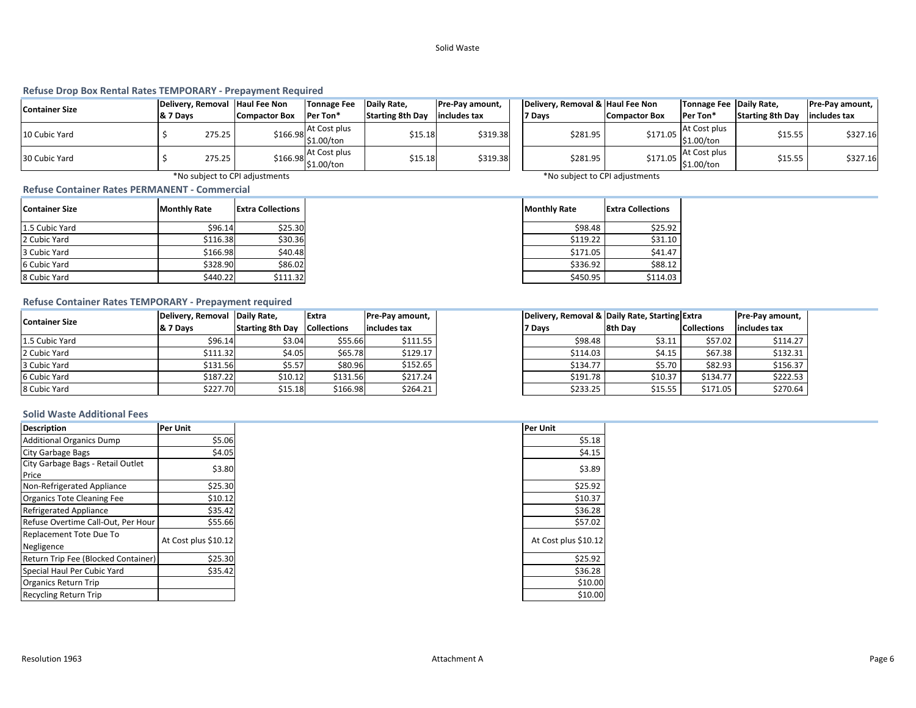#### Solid Waste

#### **Refuse Drop Box Rental Rates TEMPORARY ‐ Prepayment Required**

| <b>Container Size</b> |          |        | Delivery, Removal Haul Fee Non | Tonnage Fee                            | Daily Rate,             | <b>Pre-Pay amount,</b> | Delivery, Removal & Haul Fee Non |               | Tonnage Fee Daily Rate,      |                         | Pre-Pay amount, |
|-----------------------|----------|--------|--------------------------------|----------------------------------------|-------------------------|------------------------|----------------------------------|---------------|------------------------------|-------------------------|-----------------|
|                       | & 7 Days |        | Compactor Box                  | Per Ton*                               | <b>Starting 8th Day</b> | includes tax           | 7 Davs                           | Compactor Box | Per Ton*                     | <b>Starting 8th Dav</b> | includes tax    |
| 10 Cubic Yard         |          | 275.25 |                                | At Cost plus<br>$$166.98$ \$1.00/ton   | \$15.18                 | \$319.38               | \$281.95                         | \$171.05      | At Cost plus<br>\$1.00/ton   | \$15.55                 | \$327.16        |
| 30 Cubic Yard         |          | 275.25 |                                | At Cost plus<br>$$166.98$ $$1.00/t$ on | \$15.18                 | \$319.38               | \$281.95                         | \$171.05      | At Cost plus<br>$$1.00/t$ on | \$15.55                 | \$327.16        |

\*No subject to CPI adjustments \*No subject to CPI adjustments

#### **Refuse Container Rates PERMANENT ‐ Commercial**

| <b>Container Size</b> | <b>Monthly Rate</b> | Extra Collections |
|-----------------------|---------------------|-------------------|
| 1.5 Cubic Yard        | \$96.14             | \$25.30           |
| 2 Cubic Yard          | \$116.38            | \$30.36           |
| 3 Cubic Yard          | \$166.98            | \$40.48           |
| 6 Cubic Yard          | \$328.90            | \$86.02           |
| 8 Cubic Yard          | \$440.22            | \$111.32          |

# **Refuse Container Rates TEMPORARY ‐ Prepayment required**

| <b>Container Size</b> | Delivery, Removal Daily Rate, |                                     | Extra    | <b>Pre-Pay amount,</b> | Delivery, Removal & Daily Rate, Starting Extra |         |                    | Pre-Pay amount, |
|-----------------------|-------------------------------|-------------------------------------|----------|------------------------|------------------------------------------------|---------|--------------------|-----------------|
|                       | 8. 7 Days                     | <b>Starting 8th Day Collections</b> |          | lincludes tax          | 7 Days                                         | 8th Dav | <b>Collections</b> | includes tax    |
| 1.5 Cubic Yard        | \$96.14                       | \$3.04                              | \$55.66  | \$111.55               | \$98.48                                        | \$3.11  | \$57.02            | \$114.27        |
| 2 Cubic Yard          | \$111.32                      | \$4.05                              | \$65.78  | \$129.17               | \$114.03                                       | \$4.15  | \$67.38            |                 |
| 3 Cubic Yard          | \$131.56                      | \$5.57                              | \$80.96  | \$152.65               | \$134.77                                       | \$5.70  | \$82.93            | \$156.37        |
| 6 Cubic Yard          | \$187.22                      | \$10.12                             | \$131.56 | \$217.24               | \$191.78                                       | \$10.37 | \$134.77           |                 |
| 8 Cubic Yard          | \$227.70                      | \$15.18                             | \$166.98 | \$264.21               | \$233.25                                       | \$15.55 | \$171.05           |                 |

| Delivery, Removal & Daily Rate, Starting Extra |         | Pre-Pay amount,    |              |  |
|------------------------------------------------|---------|--------------------|--------------|--|
| 7 Days                                         | 8th Day | <b>Collections</b> | includes tax |  |
| \$98.48                                        | \$3.11  | \$57.02            | \$114.27     |  |
| \$114.03                                       | \$4.15  | \$67.38            | \$132.31     |  |
| \$134.77                                       | \$5.70  | \$82.93            | \$156.37     |  |
|                                                |         |                    |              |  |

#### **Solid Waste Additional Fees**

| <b>Description</b>                  | Per Unit | Per Unit |                      |                      |
|-------------------------------------|----------|----------|----------------------|----------------------|
| <b>Additional Organics Dump</b>     | \$5.06   | \$5.18   |                      |                      |
| <b>City Garbage Bags</b>            | \$4.05   | \$4.15   |                      |                      |
| City Garbage Bags - Retail Outlet   | \$3.80   | \$3.89   |                      |                      |
| Price                               |          |          |                      |                      |
| Non-Refrigerated Appliance          | \$25.30  | \$25.92  |                      |                      |
| Organics Tote Cleaning Fee          | \$10.12  | \$10.37  |                      |                      |
| <b>Refrigerated Appliance</b>       | \$35.42  | \$36.28  |                      |                      |
| Refuse Overtime Call-Out, Per Hour  | \$55.66  | \$57.02  |                      |                      |
| Replacement Tote Due To             |          |          | At Cost plus \$10.12 | At Cost plus \$10.12 |
| Negligence                          |          |          |                      |                      |
| Return Trip Fee (Blocked Container) | \$25.30  | \$25.92  |                      |                      |
| Special Haul Per Cubic Yard         | \$35.42  | \$36.28  |                      |                      |
| <b>Organics Return Trip</b>         |          | \$10.00  |                      |                      |
| <b>Recycling Return Trip</b>        |          | \$10.00  |                      |                      |

| <b>Per Unit</b>      |
|----------------------|
| \$5.18               |
| \$4.15               |
| \$3.89               |
| \$25.92              |
| \$10.37              |
| \$36.28              |
| \$57.02              |
| At Cost plus \$10.12 |
| \$25.92              |
| \$36.28              |
| \$10.00              |
| \$10.00              |